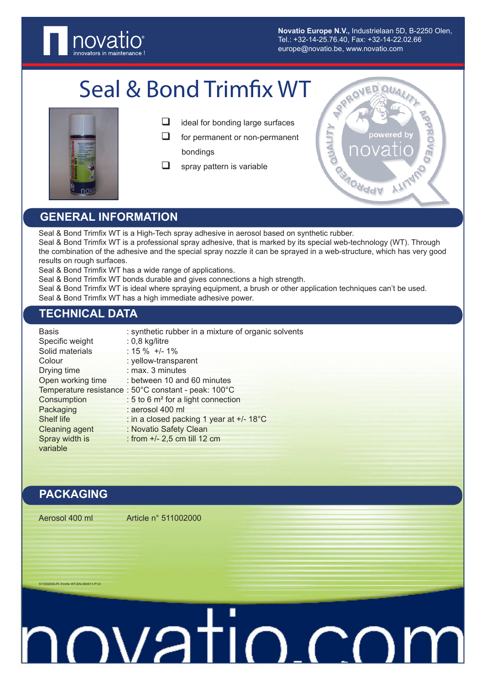

**Novatio Europe N.V.,** Industrielaan 5D, B-2250 Olen, Tel.: +32-14-25.76.40, Fax: +32-14-22.02.66 europe@novatio.be, www.novatio.com

# Seal & Bond Trimfix WT



- $\Box$  ideal for bonding large surfaces
- $\Box$  for permanent or non-permanent bondings
- $\Box$  spray pattern is variable



# **GENERAL INFORMATION**

Seal & Bond Trimfix WT is a High-Tech spray adhesive in aerosol based on synthetic rubber. Seal & Bond Trimfix WT is a professional spray adhesive, that is marked by its special web-technology (WT). Through the combination of the adhesive and the special spray nozzle it can be sprayed in a web-structure, which has very good results on rough surfaces.

Seal & Bond Trimfix WT has a wide range of applications.

Seal & Bond Trimfix WT bonds durable and gives connections a high strength.

Seal & Bond Trimfix WT is ideal where spraying equipment, a brush or other application techniques can't be used.

Seal & Bond Trimfix WT has a high immediate adhesive power.

### **TECHNICAL DATA**

| <b>Basis</b>          | : synthetic rubber in a mixture of organic solvents  |
|-----------------------|------------------------------------------------------|
| Specific weight       | $: 0,8$ kg/litre                                     |
| Solid materials       | $: 15 \% +/- 1\%$                                    |
| Colour                | : yellow-transparent                                 |
| Drying time           | : max. 3 minutes                                     |
| Open working time     | : between 10 and 60 minutes                          |
|                       | Temperature resistance : 50°C constant - peak: 100°C |
| Consumption           | : 5 to 6 m <sup>2</sup> for a light connection       |
| Packaging             | : aerosol 400 ml                                     |
| Shelf life            | : in a closed packing 1 year at +/- 18°C             |
| <b>Cleaning agent</b> | : Novatio Safety Clean                               |
| Spray width is        | : from +/- 2,5 cm till 12 cm                         |
| variable              |                                                      |

### **PACKAGING**

00-PI-Trimfix WT-EN-060511-P1/2

Aerosol 400 ml Article n° 511002000

# muatio.co